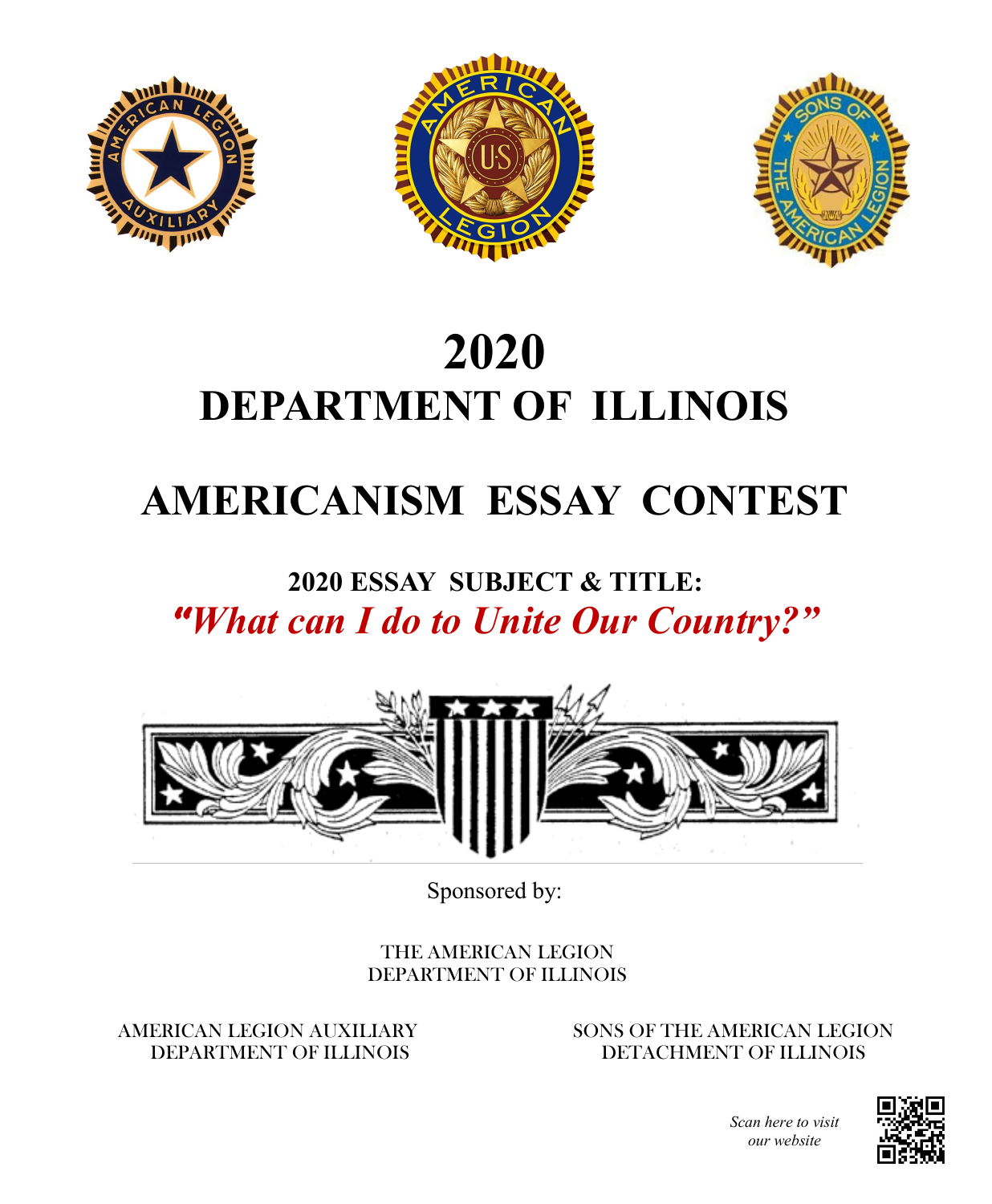





# **2020 DEPARTMENT OF ILLINOIS**

## **AMERICANISM ESSAY CONTEST**

### **2020 ESSAY SUBJECT & TITLE:** *""What can I do to Unite Our Country?"*



Sponsored by:

THE AMERICAN LEGION DEPARTMENT OF ILLINOIS

#### AMERICAN LEGION AUXILIARY DEPARTMENT OF ILLINOIS

SONS OF THE AMERICAN LEGION DETACHMENT OF ILLINOIS



*Scan here to visit our website*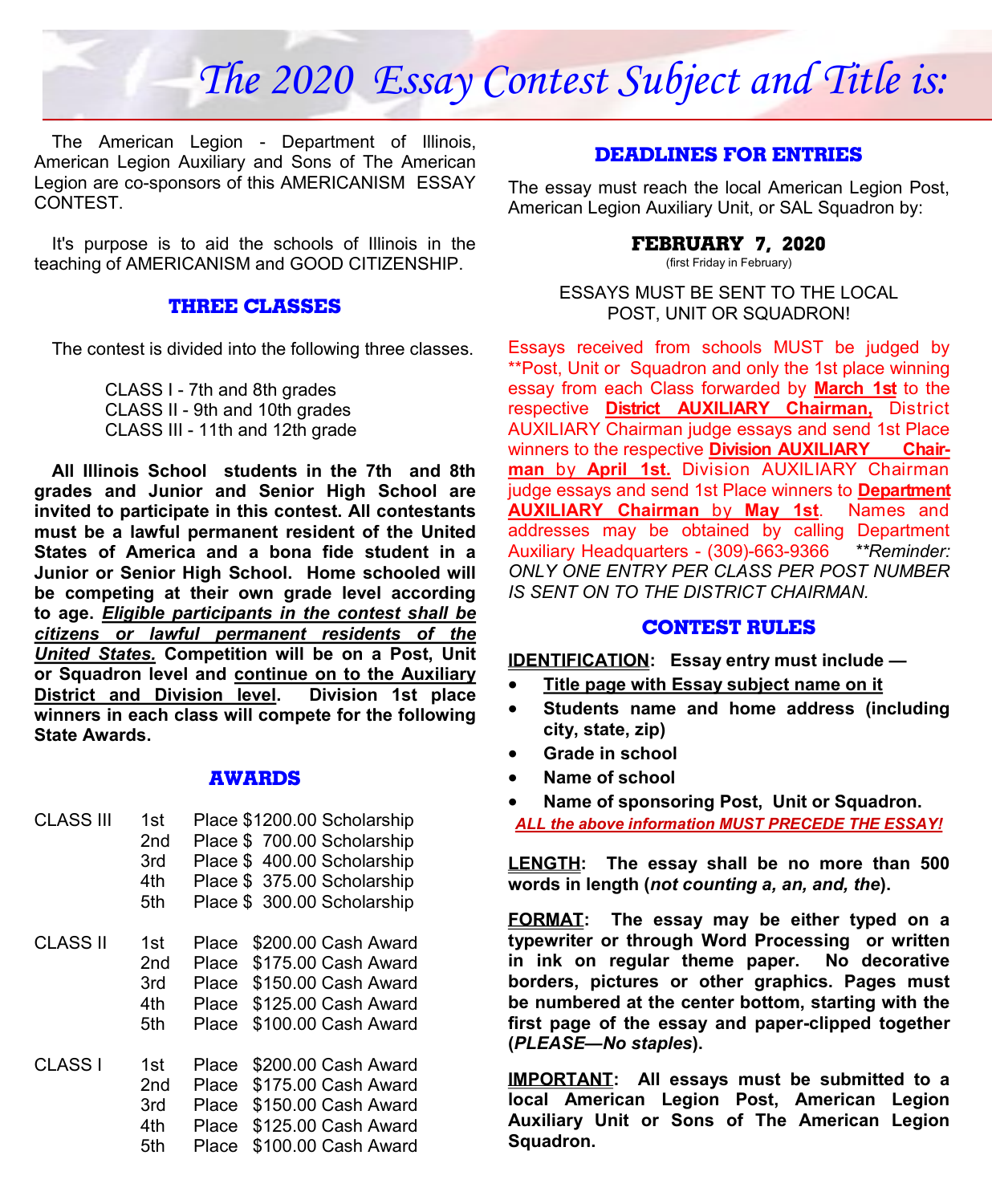### *The 2020 Essay Contest Subject and Title is:*

The American Legion - Department of Illinois, American Legion Auxiliary and Sons of The American Legion are co-sponsors of this AMERICANISM ESSAY CONTEST.

It's purpose is to aid the schools of Illinois in the teaching of AMERICANISM and GOOD CITIZENSHIP.

#### **THREE CLASSES**

The contest is divided into the following three classes.

CLASS I - 7th and 8th grades CLASS II - 9th and 10th grades CLASS III - 11th and 12th grade

**All Illinois School students in the 7th and 8th grades and Junior and Senior High School are invited to participate in this contest. All contestants must be a lawful permanent resident of the United States of America and a bona fide student in a Junior or Senior High School. Home schooled will be competing at their own grade level according to age.** *Eligible participants in the contest shall be citizens or lawful permanent residents of the United States.* **Competition will be on a Post, Unit or Squadron level and continue on to the Auxiliary District and Division level. Division 1st place winners in each class will compete for the following State Awards.**

#### **AWARDS**

CLASS III 1st Place \$1200.00 Scholarship 2nd Place \$ 700.00 Scholarship 3rd Place \$ 400.00 Scholarship 4th Place \$ 375.00 Scholarship 5th Place \$ 300.00 Scholarship CLASS II 1st Place \$200.00 Cash Award 2nd Place \$175.00 Cash Award 3rd Place \$150.00 Cash Award 4th Place \$125.00 Cash Award 5th Place \$100.00 Cash Award CLASS I 1st Place \$200.00 Cash Award 2nd Place \$175.00 Cash Award 3rd Place \$150.00 Cash Award 4th Place \$125.00 Cash Award 5th Place \$100.00 Cash Award

#### **DEADLINES FOR ENTRIES**

The essay must reach the local American Legion Post, American Legion Auxiliary Unit, or SAL Squadron by:

#### **FEBRUARY 7, 2020**

(first Friday in February)

ESSAYS MUST BE SENT TO THE LOCAL POST, UNIT OR SQUADRON!

Essays received from schools MUST be judged by \*\*Post, Unit or Squadron and only the 1st place winning essay from each Class forwarded by **March 1st** to the respective **District AUXILIARY Chairman,** District AUXILIARY Chairman judge essays and send 1st Place winners to the respective **Division AUXILIARY Chairman** by **April 1st.** Division AUXILIARY Chairman judge essays and send 1st Place winners to **Department AUXILIARY Chairman** by **May 1st**. Names and addresses may be obtained by calling Department Auxiliary Headquarters - (309)-663-9366 *\*\*Reminder: ONLY ONE ENTRY PER CLASS PER POST NUMBER IS SENT ON TO THE DISTRICT CHAIRMAN.*

#### **CONTEST RULES**

**IDENTIFICATION: Essay entry must include —**

- **Title page with Essay subject name on it**
- **Students name and home address (including city, state, zip)**
- **Grade in school**
- **Name of school**
- **Name of sponsoring Post, Unit or Squadron.**  *ALL the above information MUST PRECEDE THE ESSAY!*

**LENGTH: The essay shall be no more than 500** 

**words in length (***not counting a, an, and, the***).**

**FORMAT: The essay may be either typed on a typewriter or through Word Processing or written in ink on regular theme paper. No decorative borders, pictures or other graphics. Pages must be numbered at the center bottom, starting with the first page of the essay and paper-clipped together (***PLEASE—No staples***).** 

**IMPORTANT: All essays must be submitted to a local American Legion Post, American Legion Auxiliary Unit or Sons of The American Legion Squadron.**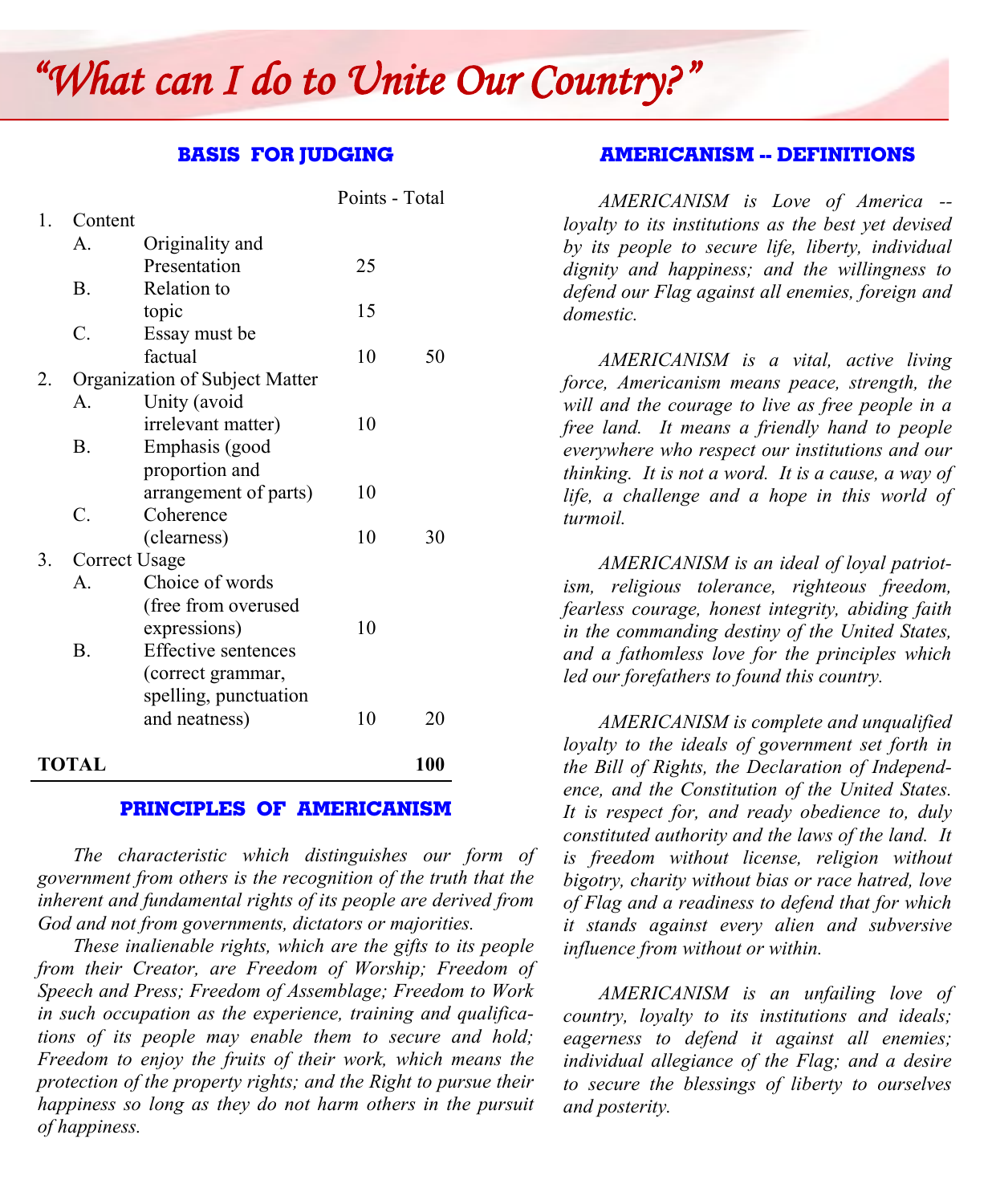## *The 2020 Essay Contest Subject and Title is: "What can I do to Unite Our Country?"*

#### **BASIS FOR JUDGING**

|              |                |                                | Points - Total |            |
|--------------|----------------|--------------------------------|----------------|------------|
| $\mathbf{1}$ | Content        |                                |                |            |
|              | $\mathsf{A}$ . | Originality and                |                |            |
|              |                | Presentation                   | 25             |            |
|              | $\mathbf{B}$ . | Relation to                    |                |            |
|              |                | topic                          | 15             |            |
|              | C.             | Essay must be                  |                |            |
|              |                | factual                        | 10             | 50         |
| 2.           |                | Organization of Subject Matter |                |            |
|              | $A_{\cdot}$    | Unity (avoid                   |                |            |
|              |                | irrelevant matter)             | 10             |            |
|              | $\mathbf{B}$ . | Emphasis (good                 |                |            |
|              |                | proportion and                 |                |            |
|              |                | arrangement of parts)          | 10             |            |
|              | C.             | Coherence                      |                |            |
|              |                | (clearness)                    | 10             | 30         |
| 3.           | Correct Usage  |                                |                |            |
|              | $\mathsf{A}$ . | Choice of words                |                |            |
|              |                | (free from overused            |                |            |
|              |                | expressions)                   | 10             |            |
|              | $\mathbf{B}$ . | <b>Effective sentences</b>     |                |            |
|              |                | (correct grammar,              |                |            |
|              |                | spelling, punctuation          |                |            |
|              |                | and neatness)                  | 10             | 20         |
| TOTAL        |                |                                |                | <b>100</b> |

#### **PRINCIPLES OF AMERICANISM**

*The characteristic which distinguishes our form of government from others is the recognition of the truth that the inherent and fundamental rights of its people are derived from God and not from governments, dictators or majorities.*

*These inalienable rights, which are the gifts to its people from their Creator, are Freedom of Worship; Freedom of Speech and Press; Freedom of Assemblage; Freedom to Work in such occupation as the experience, training and qualifications of its people may enable them to secure and hold; Freedom to enjoy the fruits of their work, which means the protection of the property rights; and the Right to pursue their happiness so long as they do not harm others in the pursuit of happiness.*

#### **AMERICANISM -- DEFINITIONS**

*AMERICANISM is Love of America - loyalty to its institutions as the best yet devised by its people to secure life, liberty, individual dignity and happiness; and the willingness to defend our Flag against all enemies, foreign and domestic.*

*AMERICANISM is a vital, active living force, Americanism means peace, strength, the will and the courage to live as free people in a free land. It means a friendly hand to people everywhere who respect our institutions and our thinking. It is not a word. It is a cause, a way of life, a challenge and a hope in this world of turmoil.*

*AMERICANISM is an ideal of loyal patriotism, religious tolerance, righteous freedom, fearless courage, honest integrity, abiding faith in the commanding destiny of the United States, and a fathomless love for the principles which led our forefathers to found this country.*

*AMERICANISM is complete and unqualified loyalty to the ideals of government set forth in the Bill of Rights, the Declaration of Independence, and the Constitution of the United States. It is respect for, and ready obedience to, duly constituted authority and the laws of the land. It is freedom without license, religion without bigotry, charity without bias or race hatred, love of Flag and a readiness to defend that for which it stands against every alien and subversive influence from without or within.*

*AMERICANISM is an unfailing love of country, loyalty to its institutions and ideals; eagerness to defend it against all enemies; individual allegiance of the Flag; and a desire to secure the blessings of liberty to ourselves and posterity.*